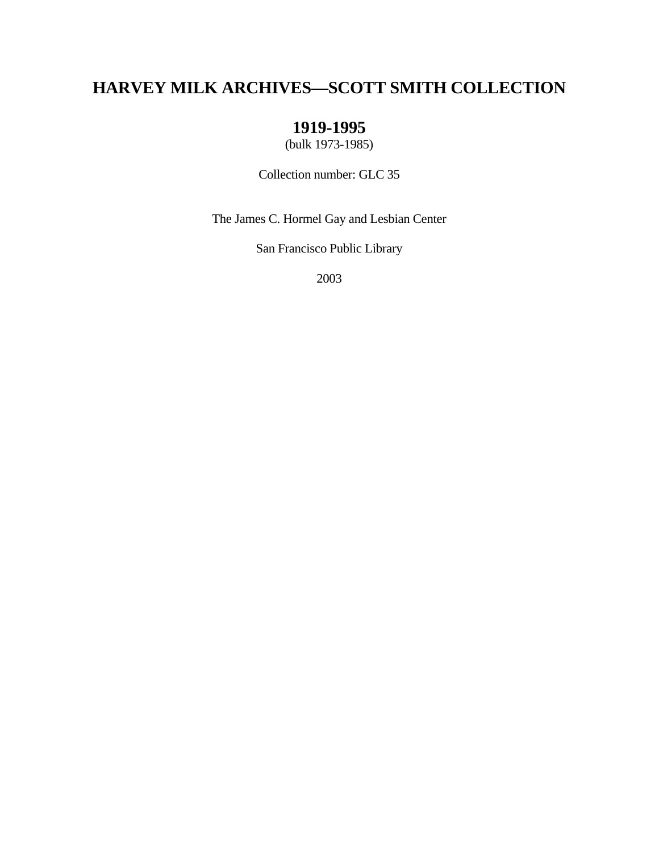# **HARVEY MILK ARCHIVES—SCOTT SMITH COLLECTION**

# **1919-1995**

(bulk 1973-1985)

Collection number: GLC 35

The James C. Hormel Gay and Lesbian Center

San Francisco Public Library

2003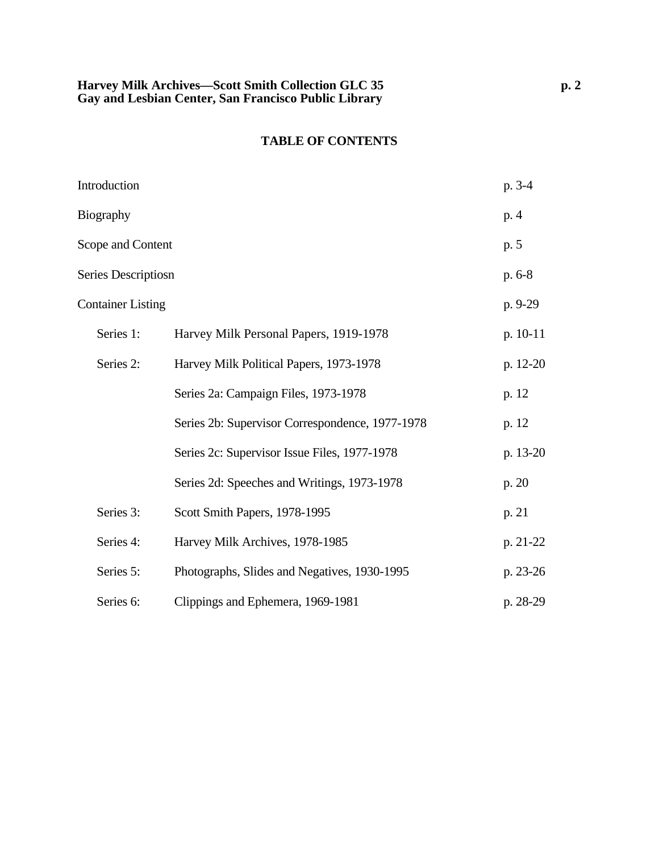### **TABLE OF CONTENTS**

| Introduction             |                                                 | p. 3-4   |
|--------------------------|-------------------------------------------------|----------|
| <b>Biography</b>         |                                                 | p. 4     |
| Scope and Content        |                                                 | p. 5     |
| Series Descriptiosn      |                                                 | p. 6-8   |
| <b>Container Listing</b> |                                                 | p. 9-29  |
| Series 1:                | Harvey Milk Personal Papers, 1919-1978          | p. 10-11 |
| Series 2:                | Harvey Milk Political Papers, 1973-1978         | p. 12-20 |
|                          | Series 2a: Campaign Files, 1973-1978            | p. 12    |
|                          | Series 2b: Supervisor Correspondence, 1977-1978 | p. 12    |
|                          | Series 2c: Supervisor Issue Files, 1977-1978    | p. 13-20 |
|                          | Series 2d: Speeches and Writings, 1973-1978     | p. 20    |
| Series 3:                | Scott Smith Papers, 1978-1995                   | p. 21    |
| Series 4:                | Harvey Milk Archives, 1978-1985                 | p. 21-22 |
| Series 5:                | Photographs, Slides and Negatives, 1930-1995    | p. 23-26 |
| Series 6:                | Clippings and Ephemera, 1969-1981               | p. 28-29 |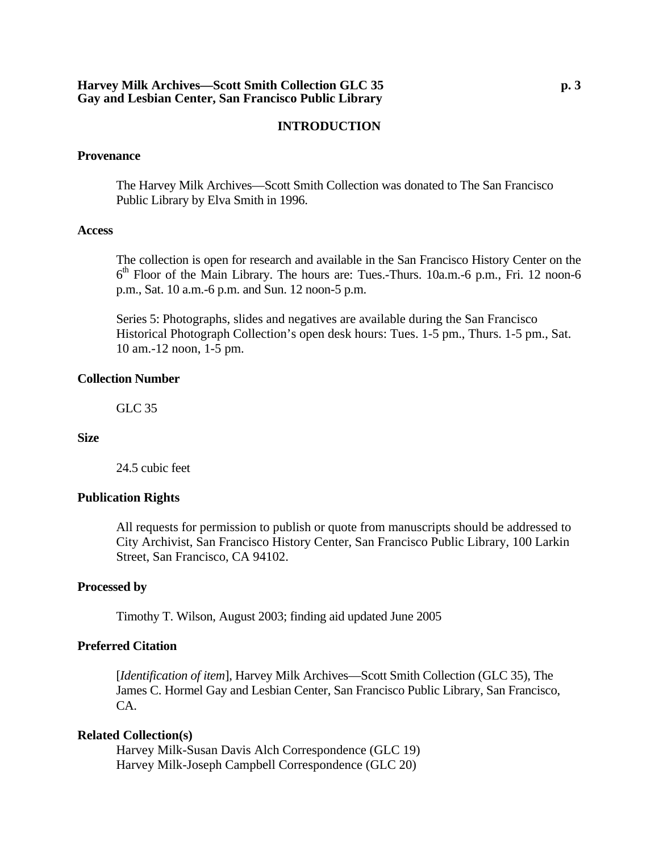### **INTRODUCTION**

#### **Provenance**

The Harvey Milk Archives—Scott Smith Collection was donated to The San Francisco Public Library by Elva Smith in 1996.

#### **Access**

The collection is open for research and available in the San Francisco History Center on the  $6<sup>th</sup>$  Floor of the Main Library. The hours are: Tues.-Thurs. 10a.m.-6 p.m., Fri. 12 noon-6 p.m., Sat. 10 a.m.-6 p.m. and Sun. 12 noon-5 p.m.

Series 5: Photographs, slides and negatives are available during the San Francisco Historical Photograph Collection's open desk hours: Tues. 1-5 pm., Thurs. 1-5 pm., Sat. 10 am.-12 noon, 1-5 pm.

#### **Collection Number**

GLC 35

#### **Size**

24.5 cubic feet

#### **Publication Rights**

All requests for permission to publish or quote from manuscripts should be addressed to City Archivist, San Francisco History Center, San Francisco Public Library, 100 Larkin Street, San Francisco, CA 94102.

#### **Processed by**

Timothy T. Wilson, August 2003; finding aid updated June 2005

#### **Preferred Citation**

[*Identification of item*], Harvey Milk Archives—Scott Smith Collection (GLC 35), The James C. Hormel Gay and Lesbian Center, San Francisco Public Library, San Francisco, CA.

#### **Related Collection(s)**

Harvey Milk-Susan Davis Alch Correspondence (GLC 19) Harvey Milk-Joseph Campbell Correspondence (GLC 20)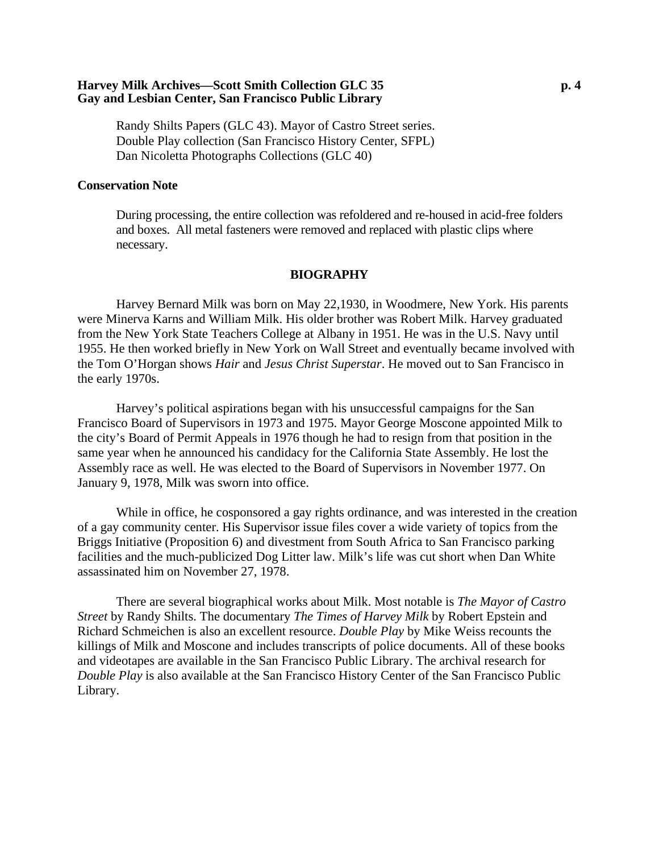#### **Harvey Milk Archives—Scott Smith Collection GLC 35 p. 4 Gay and Lesbian Center, San Francisco Public Library**

Randy Shilts Papers (GLC 43). Mayor of Castro Street series. Double Play collection (San Francisco History Center, SFPL) Dan Nicoletta Photographs Collections (GLC 40)

#### **Conservation Note**

During processing, the entire collection was refoldered and re-housed in acid-free folders and boxes. All metal fasteners were removed and replaced with plastic clips where necessary.

#### **BIOGRAPHY**

 Harvey Bernard Milk was born on May 22,1930, in Woodmere, New York. His parents were Minerva Karns and William Milk. His older brother was Robert Milk. Harvey graduated from the New York State Teachers College at Albany in 1951. He was in the U.S. Navy until 1955. He then worked briefly in New York on Wall Street and eventually became involved with the Tom O'Horgan shows *Hair* and *Jesus Christ Superstar*. He moved out to San Francisco in the early 1970s.

 Harvey's political aspirations began with his unsuccessful campaigns for the San Francisco Board of Supervisors in 1973 and 1975. Mayor George Moscone appointed Milk to the city's Board of Permit Appeals in 1976 though he had to resign from that position in the same year when he announced his candidacy for the California State Assembly. He lost the Assembly race as well. He was elected to the Board of Supervisors in November 1977. On January 9, 1978, Milk was sworn into office.

 While in office, he cosponsored a gay rights ordinance, and was interested in the creation of a gay community center. His Supervisor issue files cover a wide variety of topics from the Briggs Initiative (Proposition 6) and divestment from South Africa to San Francisco parking facilities and the much-publicized Dog Litter law. Milk's life was cut short when Dan White assassinated him on November 27, 1978.

 There are several biographical works about Milk. Most notable is *The Mayor of Castro Street* by Randy Shilts. The documentary *The Times of Harvey Milk* by Robert Epstein and Richard Schmeichen is also an excellent resource. *Double Play* by Mike Weiss recounts the killings of Milk and Moscone and includes transcripts of police documents. All of these books and videotapes are available in the San Francisco Public Library. The archival research for *Double Play* is also available at the San Francisco History Center of the San Francisco Public Library.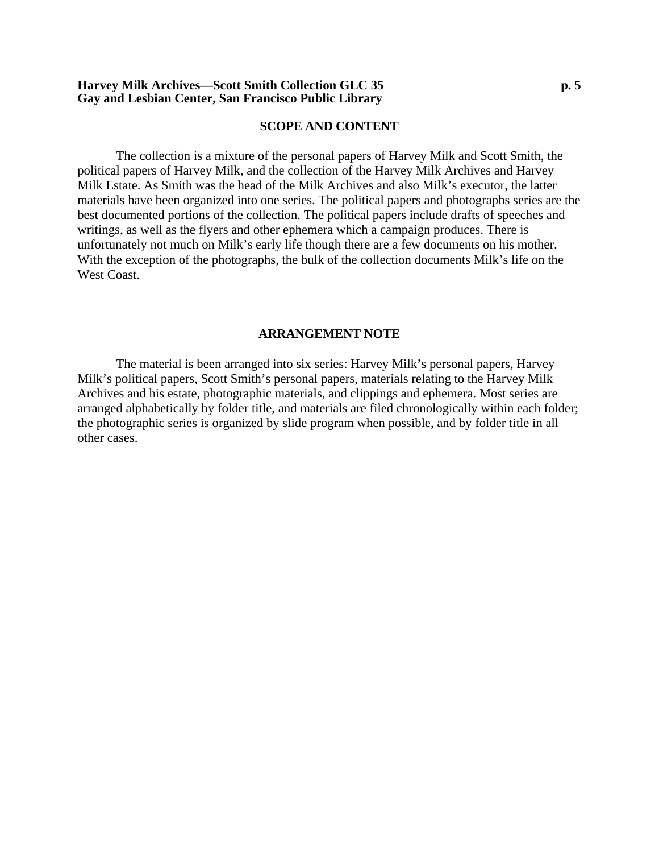#### **Harvey Milk Archives—Scott Smith Collection GLC 35 p. 5 Gay and Lesbian Center, San Francisco Public Library**

#### **SCOPE AND CONTENT**

The collection is a mixture of the personal papers of Harvey Milk and Scott Smith, the political papers of Harvey Milk, and the collection of the Harvey Milk Archives and Harvey Milk Estate. As Smith was the head of the Milk Archives and also Milk's executor, the latter materials have been organized into one series. The political papers and photographs series are the best documented portions of the collection. The political papers include drafts of speeches and writings, as well as the flyers and other ephemera which a campaign produces. There is unfortunately not much on Milk's early life though there are a few documents on his mother. With the exception of the photographs, the bulk of the collection documents Milk's life on the West Coast.

#### **ARRANGEMENT NOTE**

 The material is been arranged into six series: Harvey Milk's personal papers, Harvey Milk's political papers, Scott Smith's personal papers, materials relating to the Harvey Milk Archives and his estate, photographic materials, and clippings and ephemera. Most series are arranged alphabetically by folder title, and materials are filed chronologically within each folder; the photographic series is organized by slide program when possible, and by folder title in all other cases.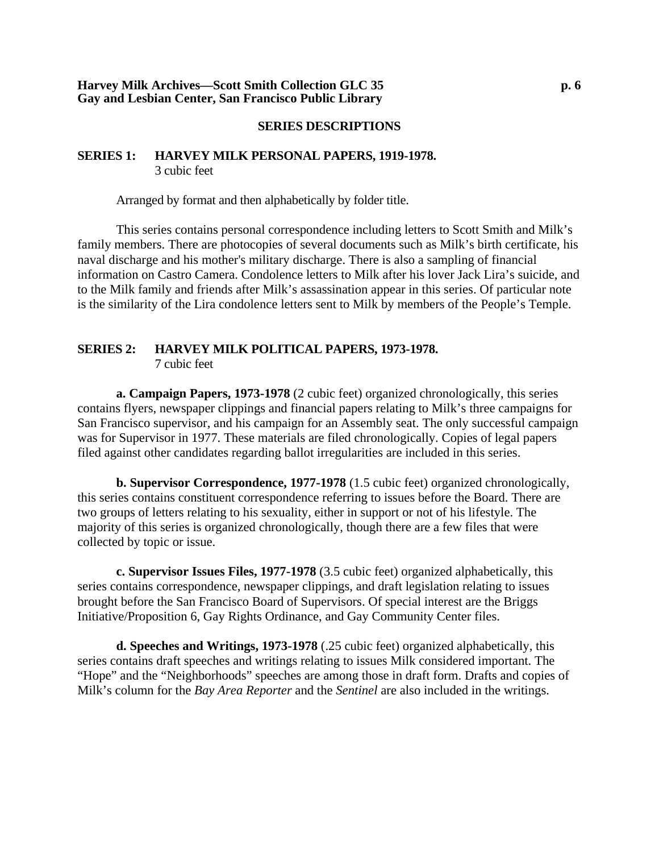#### **SERIES DESCRIPTIONS**

#### **SERIES 1: HARVEY MILK PERSONAL PAPERS, 1919-1978.** 3 cubic feet

Arranged by format and then alphabetically by folder title.

This series contains personal correspondence including letters to Scott Smith and Milk's family members. There are photocopies of several documents such as Milk's birth certificate, his naval discharge and his mother's military discharge. There is also a sampling of financial information on Castro Camera. Condolence letters to Milk after his lover Jack Lira's suicide, and to the Milk family and friends after Milk's assassination appear in this series. Of particular note is the similarity of the Lira condolence letters sent to Milk by members of the People's Temple.

# **SERIES 2: HARVEY MILK POLITICAL PAPERS, 1973-1978.**

7 cubic feet

**a. Campaign Papers, 1973-1978** (2 cubic feet) organized chronologically, this series contains flyers, newspaper clippings and financial papers relating to Milk's three campaigns for San Francisco supervisor, and his campaign for an Assembly seat. The only successful campaign was for Supervisor in 1977. These materials are filed chronologically. Copies of legal papers filed against other candidates regarding ballot irregularities are included in this series.

**b. Supervisor Correspondence, 1977-1978** (1.5 cubic feet) organized chronologically, this series contains constituent correspondence referring to issues before the Board. There are two groups of letters relating to his sexuality, either in support or not of his lifestyle. The majority of this series is organized chronologically, though there are a few files that were collected by topic or issue.

**c. Supervisor Issues Files, 1977-1978** (3.5 cubic feet) organized alphabetically, this series contains correspondence, newspaper clippings, and draft legislation relating to issues brought before the San Francisco Board of Supervisors. Of special interest are the Briggs Initiative/Proposition 6, Gay Rights Ordinance, and Gay Community Center files.

**d. Speeches and Writings, 1973-1978** (.25 cubic feet) organized alphabetically, this series contains draft speeches and writings relating to issues Milk considered important. The "Hope" and the "Neighborhoods" speeches are among those in draft form. Drafts and copies of Milk's column for the *Bay Area Reporter* and the *Sentinel* are also included in the writings.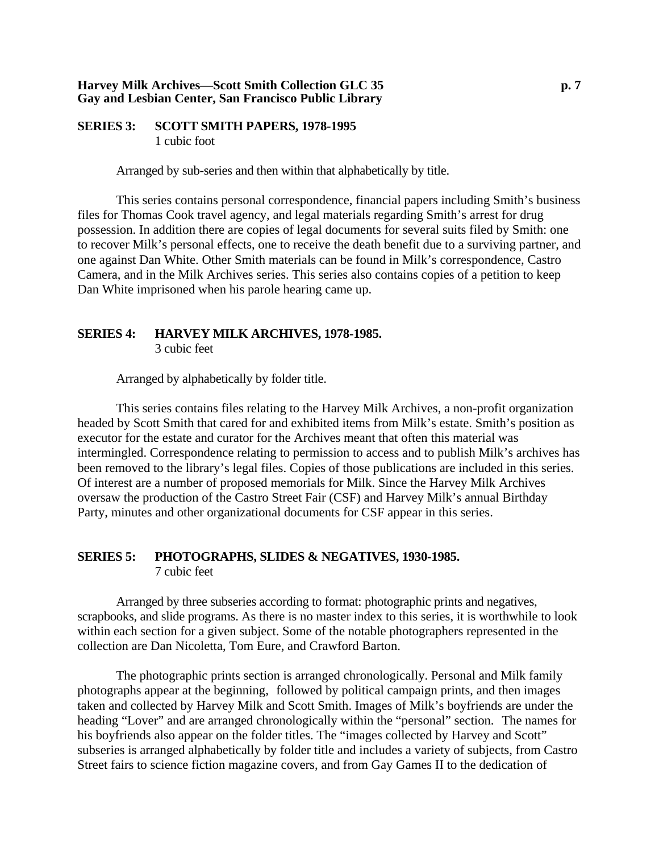#### **Harvey Milk Archives—Scott Smith Collection GLC 35 p. 7 Gay and Lesbian Center, San Francisco Public Library**

#### **SERIES 3: SCOTT SMITH PAPERS, 1978-1995** 1 cubic foot

Arranged by sub-series and then within that alphabetically by title.

This series contains personal correspondence, financial papers including Smith's business files for Thomas Cook travel agency, and legal materials regarding Smith's arrest for drug possession. In addition there are copies of legal documents for several suits filed by Smith: one to recover Milk's personal effects, one to receive the death benefit due to a surviving partner, and one against Dan White. Other Smith materials can be found in Milk's correspondence, Castro Camera, and in the Milk Archives series. This series also contains copies of a petition to keep Dan White imprisoned when his parole hearing came up.

# **SERIES 4: HARVEY MILK ARCHIVES, 1978-1985.**

3 cubic feet

Arranged by alphabetically by folder title.

This series contains files relating to the Harvey Milk Archives, a non-profit organization headed by Scott Smith that cared for and exhibited items from Milk's estate. Smith's position as executor for the estate and curator for the Archives meant that often this material was intermingled. Correspondence relating to permission to access and to publish Milk's archives has been removed to the library's legal files. Copies of those publications are included in this series. Of interest are a number of proposed memorials for Milk. Since the Harvey Milk Archives oversaw the production of the Castro Street Fair (CSF) and Harvey Milk's annual Birthday Party, minutes and other organizational documents for CSF appear in this series.

### **SERIES 5: PHOTOGRAPHS, SLIDES & NEGATIVES, 1930-1985.** 7 cubic feet

 Arranged by three subseries according to format: photographic prints and negatives, scrapbooks, and slide programs. As there is no master index to this series, it is worthwhile to look within each section for a given subject. Some of the notable photographers represented in the collection are Dan Nicoletta, Tom Eure, and Crawford Barton.

The photographic prints section is arranged chronologically. Personal and Milk family photographs appear at the beginning, followed by political campaign prints, and then images taken and collected by Harvey Milk and Scott Smith. Images of Milk's boyfriends are under the heading "Lover" and are arranged chronologically within the "personal" section. The names for his boyfriends also appear on the folder titles. The "images collected by Harvey and Scott" subseries is arranged alphabetically by folder title and includes a variety of subjects, from Castro Street fairs to science fiction magazine covers, and from Gay Games II to the dedication of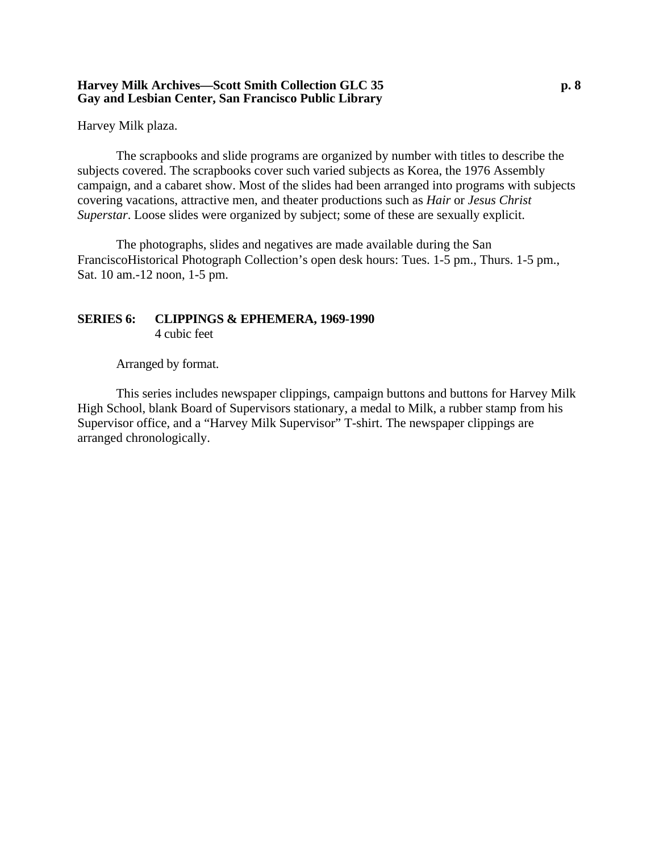#### **Harvey Milk Archives—Scott Smith Collection GLC 35 p. 8 Gay and Lesbian Center, San Francisco Public Library**

Harvey Milk plaza.

The scrapbooks and slide programs are organized by number with titles to describe the subjects covered. The scrapbooks cover such varied subjects as Korea, the 1976 Assembly campaign, and a cabaret show. Most of the slides had been arranged into programs with subjects covering vacations, attractive men, and theater productions such as *Hair* or *Jesus Christ Superstar*. Loose slides were organized by subject; some of these are sexually explicit.

The photographs, slides and negatives are made available during the San FranciscoHistorical Photograph Collection's open desk hours: Tues. 1-5 pm., Thurs. 1-5 pm., Sat. 10 am.-12 noon, 1-5 pm.

# **SERIES 6: CLIPPINGS & EPHEMERA, 1969-1990**

4 cubic feet

Arranged by format.

This series includes newspaper clippings, campaign buttons and buttons for Harvey Milk High School, blank Board of Supervisors stationary, a medal to Milk, a rubber stamp from his Supervisor office, and a "Harvey Milk Supervisor" T-shirt. The newspaper clippings are arranged chronologically.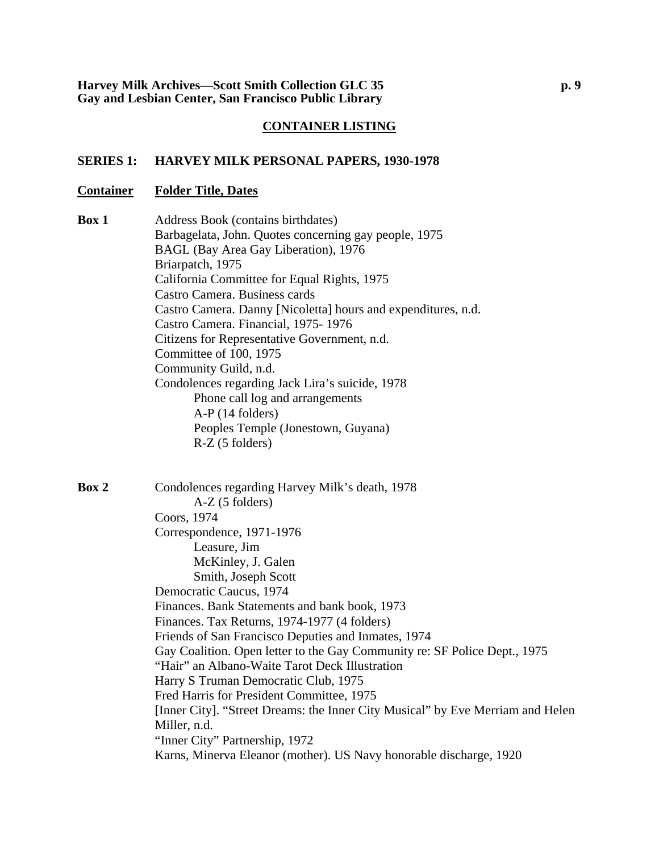#### **SERIES 1: HARVEY MILK PERSONAL PAPERS, 1930-1978**

#### **Container Folder Title, Dates**

**Box 1** Address Book (contains birthdates) Barbagelata, John. Quotes concerning gay people, 1975 BAGL (Bay Area Gay Liberation), 1976 Briarpatch, 1975 California Committee for Equal Rights, 1975 Castro Camera. Business cards Castro Camera. Danny [Nicoletta] hours and expenditures, n.d. Castro Camera. Financial, 1975- 1976 Citizens for Representative Government, n.d. Committee of 100, 1975 Community Guild, n.d. Condolences regarding Jack Lira's suicide, 1978 Phone call log and arrangements A-P (14 folders) Peoples Temple (Jonestown, Guyana) R-Z (5 folders)

**Box 2** Condolences regarding Harvey Milk's death, 1978 A-Z (5 folders) Coors, 1974 Correspondence, 1971-1976 Leasure, Jim McKinley, J. Galen Smith, Joseph Scott Democratic Caucus, 1974 Finances. Bank Statements and bank book, 1973 Finances. Tax Returns, 1974-1977 (4 folders) Friends of San Francisco Deputies and Inmates, 1974 Gay Coalition. Open letter to the Gay Community re: SF Police Dept., 1975 "Hair" an Albano-Waite Tarot Deck Illustration Harry S Truman Democratic Club, 1975 Fred Harris for President Committee, 1975 [Inner City]. "Street Dreams: the Inner City Musical" by Eve Merriam and Helen Miller, n.d. "Inner City" Partnership, 1972 Karns, Minerva Eleanor (mother). US Navy honorable discharge, 1920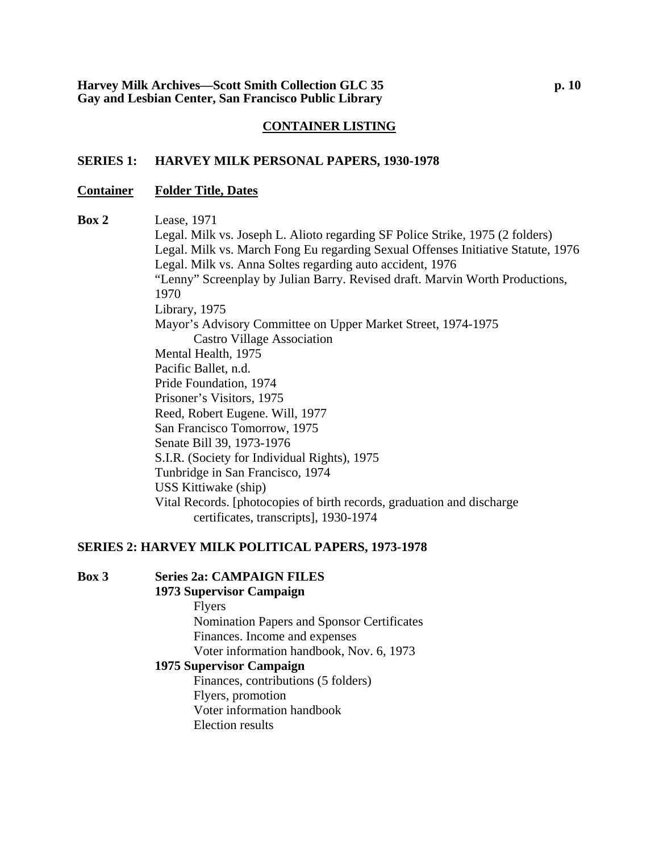#### **SERIES 1: HARVEY MILK PERSONAL PAPERS, 1930-1978**

#### **Container Folder Title, Dates**

**Box 2** Lease, 1971 Legal. Milk vs. Joseph L. Alioto regarding SF Police Strike, 1975 (2 folders) Legal. Milk vs. March Fong Eu regarding Sexual Offenses Initiative Statute, 1976 Legal. Milk vs. Anna Soltes regarding auto accident, 1976 "Lenny" Screenplay by Julian Barry. Revised draft. Marvin Worth Productions, 1970 Library, 1975 Mayor's Advisory Committee on Upper Market Street, 1974-1975 Castro Village Association Mental Health, 1975 Pacific Ballet, n.d. Pride Foundation, 1974 Prisoner's Visitors, 1975 Reed, Robert Eugene. Will, 1977 San Francisco Tomorrow, 1975 Senate Bill 39, 1973-1976 S.I.R. (Society for Individual Rights), 1975 Tunbridge in San Francisco, 1974 USS Kittiwake (ship) Vital Records. [photocopies of birth records, graduation and discharge certificates, transcripts], 1930-1974

#### **SERIES 2: HARVEY MILK POLITICAL PAPERS, 1973-1978**

#### **1973 Supervisor Campaign**

Flyers Nomination Papers and Sponsor Certificates Finances. Income and expenses Voter information handbook, Nov. 6, 1973

### **1975 Supervisor Campaign**

Finances, contributions (5 folders) Flyers, promotion Voter information handbook Election results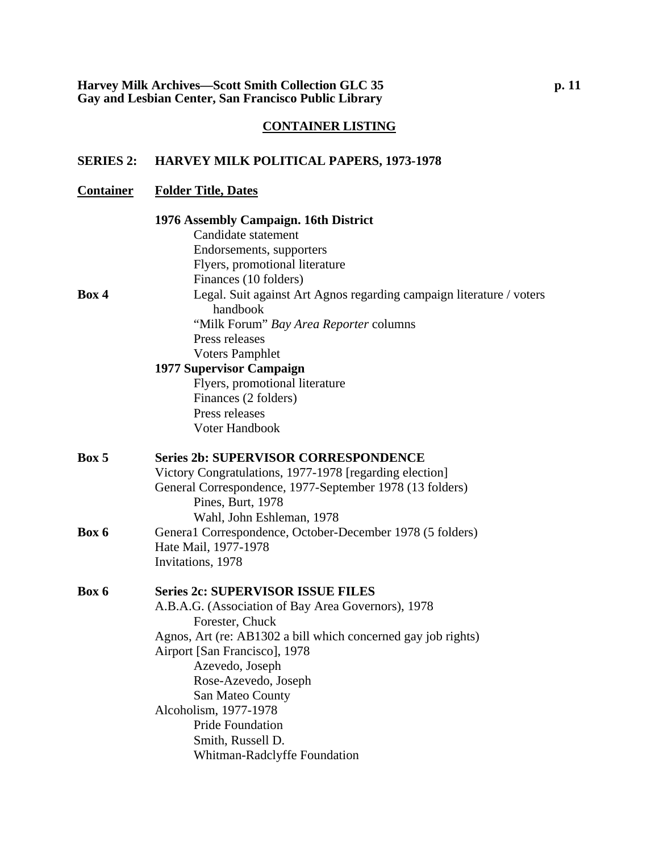#### **SERIES 2: HARVEY MILK POLITICAL PAPERS, 1973-1978**

## **Container Folder Title, Dates 1976 Assembly Campaign. 16th District**  Candidate statement Endorsements, supporters Flyers, promotional literature Finances (10 folders) **Box 4** Legal. Suit against Art Agnos regarding campaign literature / voters handbook "Milk Forum" *Bay Area Reporter* columns Press releases Voters Pamphlet **1977 Supervisor Campaign**  Flyers, promotional literature Finances (2 folders) Press releases Voter Handbook **Box 5 Series 2b: SUPERVISOR CORRESPONDENCE**  Victory Congratulations, 1977-1978 [regarding election] General Correspondence, 1977-September 1978 (13 folders) Pines, Burt, 1978 Wahl, John Eshleman, 1978 **Box 6** General Correspondence, October-December 1978 (5 folders) Hate Mail, 1977-1978 Invitations, 1978 **Box 6 Series 2c: SUPERVISOR ISSUE FILES**  A.B.A.G. (Association of Bay Area Governors), 1978 Forester, Chuck Agnos, Art (re: AB1302 a bill which concerned gay job rights) Airport [San Francisco], 1978 Azevedo, Joseph Rose-Azevedo, Joseph San Mateo County Alcoholism, 1977-1978 Pride Foundation

Smith, Russell D.

Whitman-Radclyffe Foundation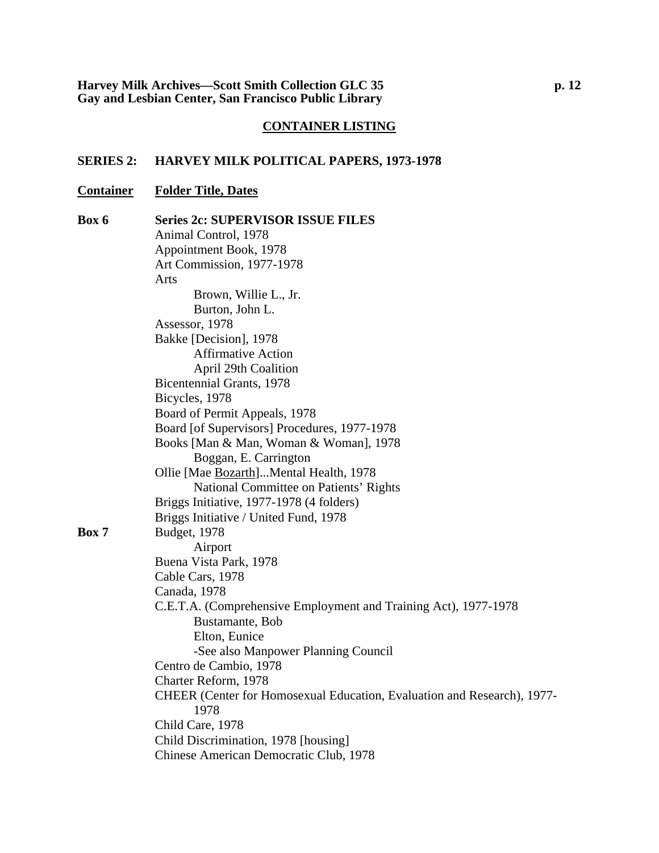### **SERIES 2: HARVEY MILK POLITICAL PAPERS, 1973-1978**

### **Container Folder Title, Dates**

| Box 6 | <b>Series 2c: SUPERVISOR ISSUE FILES</b>                                |
|-------|-------------------------------------------------------------------------|
|       | Animal Control, 1978                                                    |
|       | Appointment Book, 1978                                                  |
|       | Art Commission, 1977-1978                                               |
|       | Arts                                                                    |
|       | Brown, Willie L., Jr.                                                   |
|       | Burton, John L.                                                         |
|       | Assessor, 1978                                                          |
|       | Bakke [Decision], 1978                                                  |
|       | <b>Affirmative Action</b>                                               |
|       | <b>April 29th Coalition</b>                                             |
|       | Bicentennial Grants, 1978                                               |
|       | Bicycles, 1978                                                          |
|       | Board of Permit Appeals, 1978                                           |
|       | Board [of Supervisors] Procedures, 1977-1978                            |
|       | Books [Man & Man, Woman & Woman], 1978                                  |
|       | Boggan, E. Carrington                                                   |
|       | Ollie [Mae Bozarth]Mental Health, 1978                                  |
|       | National Committee on Patients' Rights                                  |
|       | Briggs Initiative, 1977-1978 (4 folders)                                |
|       | Briggs Initiative / United Fund, 1978                                   |
| Box 7 | Budget, 1978                                                            |
|       | Airport                                                                 |
|       | Buena Vista Park, 1978                                                  |
|       | Cable Cars, 1978                                                        |
|       | Canada, 1978                                                            |
|       | C.E.T.A. (Comprehensive Employment and Training Act), 1977-1978         |
|       | Bustamante, Bob                                                         |
|       | Elton, Eunice                                                           |
|       | -See also Manpower Planning Council                                     |
|       | Centro de Cambio, 1978                                                  |
|       | Charter Reform, 1978                                                    |
|       | CHEER (Center for Homosexual Education, Evaluation and Research), 1977- |
|       | 1978                                                                    |
|       | Child Care, 1978                                                        |
|       | Child Discrimination, 1978 [housing]                                    |
|       | Chinese American Democratic Club, 1978                                  |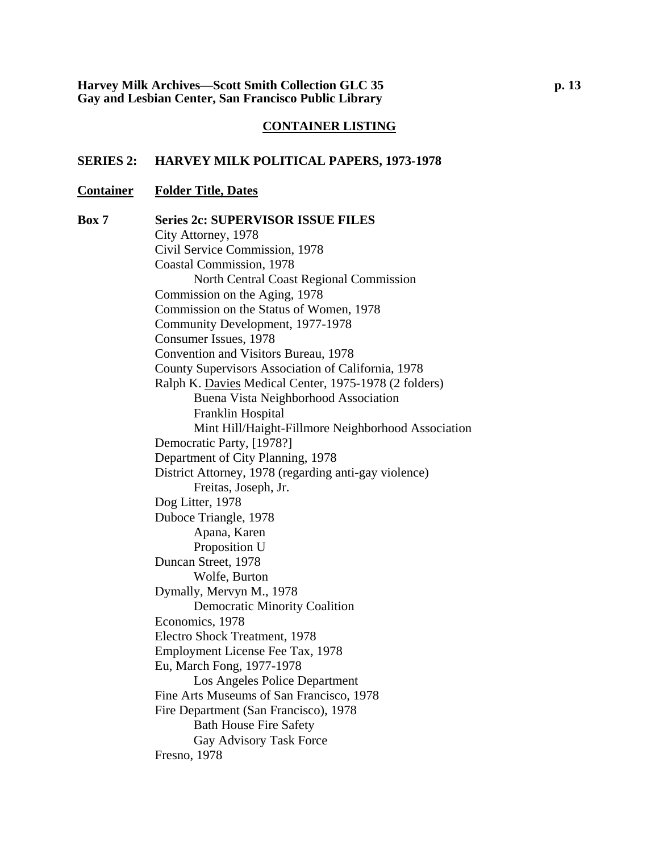#### **SERIES 2: HARVEY MILK POLITICAL PAPERS, 1973-1978**

#### **Container Folder Title, Dates**

**Box 7 Series 2c: SUPERVISOR ISSUE FILES**  City Attorney, 1978 Civil Service Commission, 1978 Coastal Commission, 1978 North Central Coast Regional Commission Commission on the Aging, 1978 Commission on the Status of Women, 1978 Community Development, 1977-1978 Consumer Issues, 1978 Convention and Visitors Bureau, 1978 County Supervisors Association of California, 1978 Ralph K. Davies Medical Center, 1975-1978 (2 folders) Buena Vista Neighborhood Association Franklin Hospital Mint Hill/Haight-Fillmore Neighborhood Association Democratic Party, [1978?] Department of City Planning, 1978 District Attorney, 1978 (regarding anti-gay violence) Freitas, Joseph, Jr. Dog Litter, 1978 Duboce Triangle, 1978 Apana, Karen Proposition U Duncan Street, 1978 Wolfe, Burton Dymally, Mervyn M., 1978 Democratic Minority Coalition Economics, 1978 Electro Shock Treatment, 1978 Employment License Fee Tax, 1978 Eu, March Fong, 1977-1978 Los Angeles Police Department Fine Arts Museums of San Francisco, 1978 Fire Department (San Francisco), 1978 Bath House Fire Safety Gay Advisory Task Force Fresno, 1978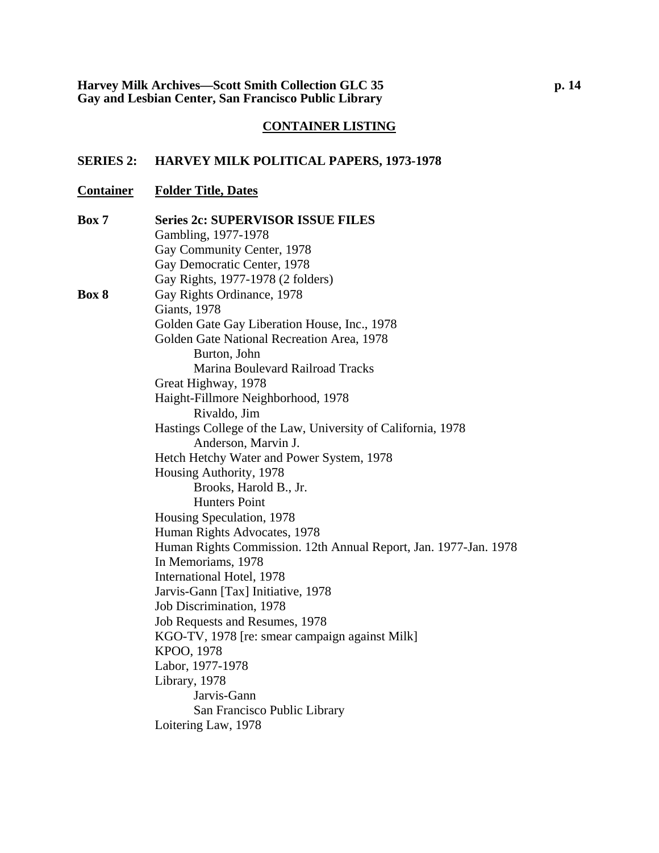### **SERIES 2: HARVEY MILK POLITICAL PAPERS, 1973-1978**

### **Container Folder Title, Dates**

| Box 7 | <b>Series 2c: SUPERVISOR ISSUE FILES</b>                         |
|-------|------------------------------------------------------------------|
|       | Gambling, 1977-1978                                              |
|       | Gay Community Center, 1978                                       |
|       | Gay Democratic Center, 1978                                      |
|       | Gay Rights, 1977-1978 (2 folders)                                |
| Box 8 | Gay Rights Ordinance, 1978                                       |
|       | <b>Giants</b> , 1978                                             |
|       | Golden Gate Gay Liberation House, Inc., 1978                     |
|       | Golden Gate National Recreation Area, 1978                       |
|       | Burton, John                                                     |
|       | Marina Boulevard Railroad Tracks                                 |
|       | Great Highway, 1978                                              |
|       | Haight-Fillmore Neighborhood, 1978                               |
|       | Rivaldo, Jim                                                     |
|       | Hastings College of the Law, University of California, 1978      |
|       | Anderson, Marvin J.                                              |
|       | Hetch Hetchy Water and Power System, 1978                        |
|       | Housing Authority, 1978                                          |
|       | Brooks, Harold B., Jr.                                           |
|       | <b>Hunters Point</b>                                             |
|       | Housing Speculation, 1978                                        |
|       | Human Rights Advocates, 1978                                     |
|       | Human Rights Commission. 12th Annual Report, Jan. 1977-Jan. 1978 |
|       | In Memoriams, 1978                                               |
|       | International Hotel, 1978                                        |
|       | Jarvis-Gann [Tax] Initiative, 1978                               |
|       | Job Discrimination, 1978                                         |
|       | Job Requests and Resumes, 1978                                   |
|       | KGO-TV, 1978 [re: smear campaign against Milk]                   |
|       | KPOO, 1978                                                       |
|       | Labor, 1977-1978                                                 |
|       | Library, 1978                                                    |
|       | Jarvis-Gann                                                      |
|       | San Francisco Public Library                                     |
|       | Loitering Law, 1978                                              |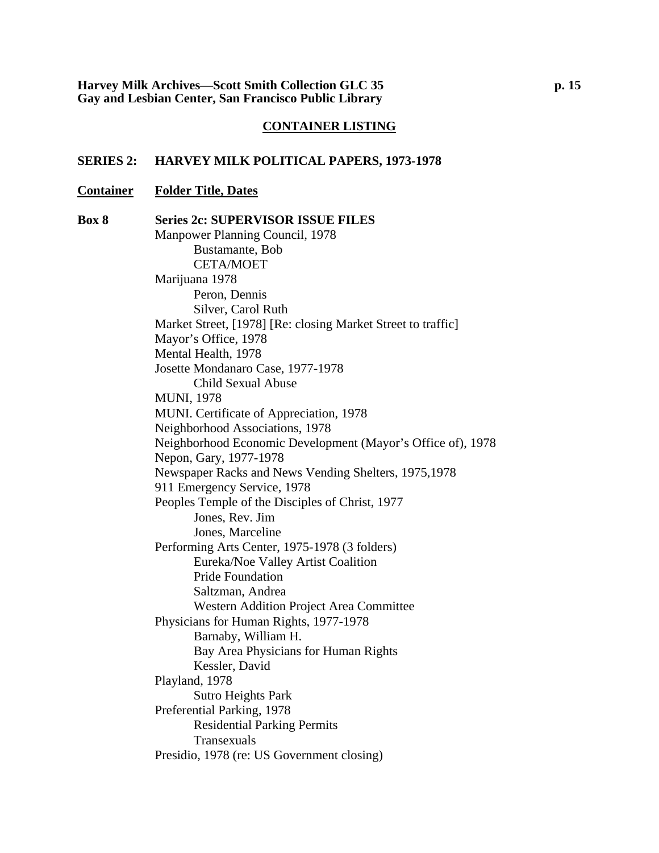#### **SERIES 2: HARVEY MILK POLITICAL PAPERS, 1973-1978**

### **Container Folder Title, Dates**

**Box 8 Series 2c: SUPERVISOR ISSUE FILES**  Manpower Planning Council, 1978 Bustamante, Bob CETA/MOET Marijuana 1978 Peron, Dennis Silver, Carol Ruth Market Street, [1978] [Re: closing Market Street to traffic] Mayor's Office, 1978 Mental Health, 1978 Josette Mondanaro Case, 1977-1978 Child Sexual Abuse MUNI, 1978 MUNI. Certificate of Appreciation, 1978 Neighborhood Associations, 1978 Neighborhood Economic Development (Mayor's Office of), 1978 Nepon, Gary, 1977-1978 Newspaper Racks and News Vending Shelters, 1975,1978 911 Emergency Service, 1978 Peoples Temple of the Disciples of Christ, 1977 Jones, Rev. Jim Jones, Marceline Performing Arts Center, 1975-1978 (3 folders) Eureka/Noe Valley Artist Coalition Pride Foundation Saltzman, Andrea Western Addition Project Area Committee Physicians for Human Rights, 1977-1978 Barnaby, William H. Bay Area Physicians for Human Rights Kessler, David Playland, 1978 Sutro Heights Park Preferential Parking, 1978 Residential Parking Permits Transexuals Presidio, 1978 (re: US Government closing)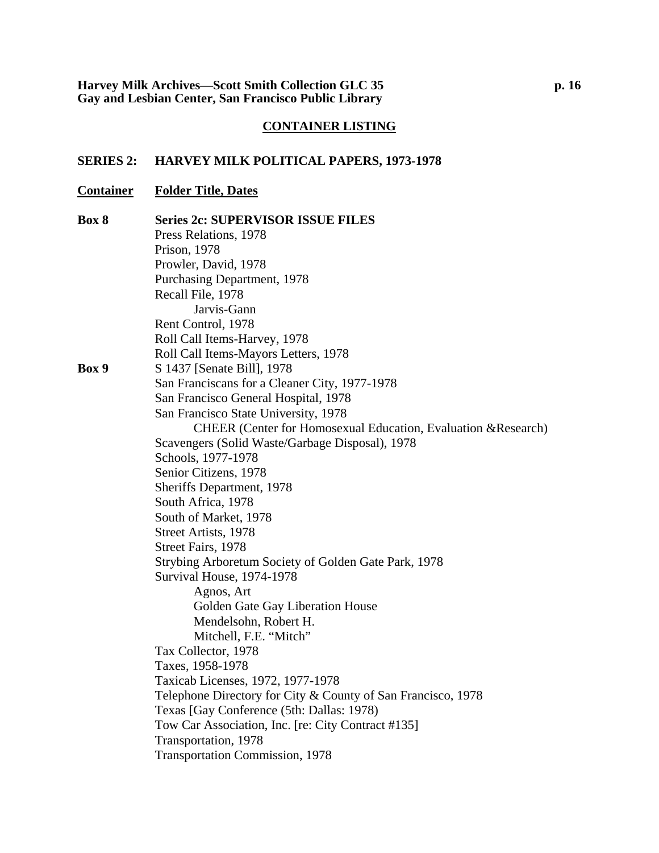### **SERIES 2: HARVEY MILK POLITICAL PAPERS, 1973-1978**

### **Container Folder Title, Dates**

| Box 8 | <b>Series 2c: SUPERVISOR ISSUE FILES</b>                              |
|-------|-----------------------------------------------------------------------|
|       | Press Relations, 1978                                                 |
|       | Prison, 1978                                                          |
|       | Prowler, David, 1978                                                  |
|       | Purchasing Department, 1978                                           |
|       | Recall File, 1978                                                     |
|       | Jarvis-Gann                                                           |
|       | Rent Control, 1978                                                    |
|       | Roll Call Items-Harvey, 1978                                          |
|       | Roll Call Items-Mayors Letters, 1978                                  |
| Box 9 | S 1437 [Senate Bill], 1978                                            |
|       | San Franciscans for a Cleaner City, 1977-1978                         |
|       | San Francisco General Hospital, 1978                                  |
|       | San Francisco State University, 1978                                  |
|       | <b>CHEER</b> (Center for Homosexual Education, Evaluation & Research) |
|       | Scavengers (Solid Waste/Garbage Disposal), 1978                       |
|       | Schools, 1977-1978                                                    |
|       | Senior Citizens, 1978                                                 |
|       | Sheriffs Department, 1978                                             |
|       | South Africa, 1978                                                    |
|       | South of Market, 1978                                                 |
|       | Street Artists, 1978                                                  |
|       | Street Fairs, 1978                                                    |
|       | Strybing Arboretum Society of Golden Gate Park, 1978                  |
|       | Survival House, 1974-1978                                             |
|       | Agnos, Art                                                            |
|       | Golden Gate Gay Liberation House                                      |
|       | Mendelsohn, Robert H.                                                 |
|       | Mitchell, F.E. "Mitch"                                                |
|       | Tax Collector, 1978                                                   |
|       | Taxes, 1958-1978                                                      |
|       | Taxicab Licenses, 1972, 1977-1978                                     |
|       | Telephone Directory for City & County of San Francisco, 1978          |
|       | Texas [Gay Conference (5th: Dallas: 1978)                             |
|       | Tow Car Association, Inc. [re: City Contract #135]                    |
|       | Transportation, 1978                                                  |
|       | <b>Transportation Commission, 1978</b>                                |
|       |                                                                       |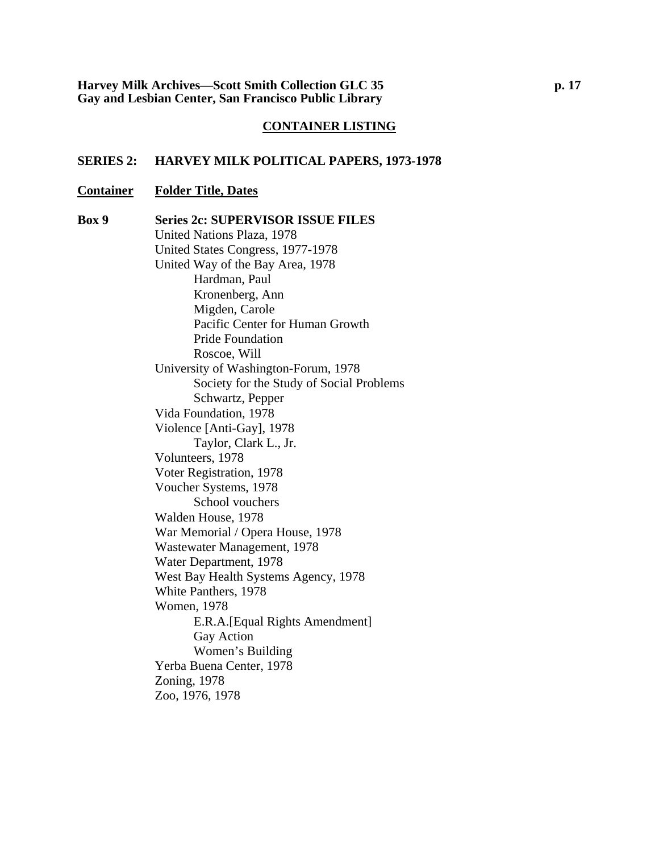#### **SERIES 2: HARVEY MILK POLITICAL PAPERS, 1973-1978**

#### **Container Folder Title, Dates**

**Box 9 Series 2c: SUPERVISOR ISSUE FILES**  United Nations Plaza, 1978 United States Congress, 1977-1978 United Way of the Bay Area, 1978 Hardman, Paul Kronenberg, Ann Migden, Carole Pacific Center for Human Growth Pride Foundation Roscoe, Will University of Washington-Forum, 1978 Society for the Study of Social Problems Schwartz, Pepper Vida Foundation, 1978 Violence [Anti-Gay], 1978 Taylor, Clark L., Jr. Volunteers, 1978 Voter Registration, 1978 Voucher Systems, 1978 School vouchers Walden House, 1978 War Memorial / Opera House, 1978 Wastewater Management, 1978 Water Department, 1978 West Bay Health Systems Agency, 1978 White Panthers, 1978 Women, 1978 E.R.A.[Equal Rights Amendment] Gay Action Women's Building Yerba Buena Center, 1978 Zoning, 1978 Zoo, 1976, 1978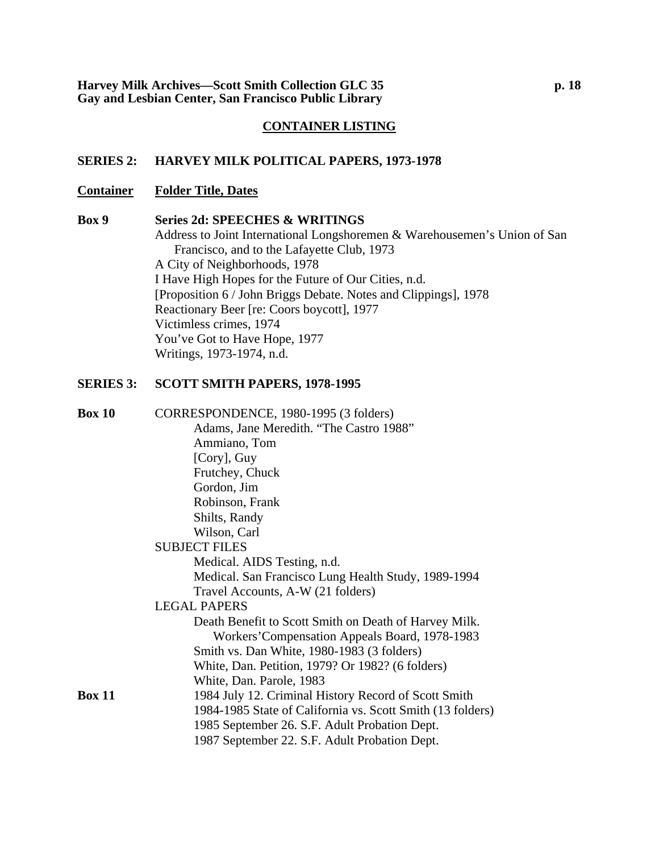#### **SERIES 2: HARVEY MILK POLITICAL PAPERS, 1973-1978**

#### **Container Folder Title, Dates**

#### **Box 9 Series 2d: SPEECHES & WRITINGS**

Address to Joint International Longshoremen & Warehousemen's Union of San Francisco, and to the Lafayette Club, 1973 A City of Neighborhoods, 1978 I Have High Hopes for the Future of Our Cities, n.d. [Proposition 6 / John Briggs Debate. Notes and Clippings], 1978 Reactionary Beer [re: Coors boycott], 1977 Victimless crimes, 1974 You've Got to Have Hope, 1977 Writings, 1973-1974, n.d.

#### **SERIES 3: SCOTT SMITH PAPERS, 1978-1995**

| <b>Box 10</b> | CORRESPONDENCE, 1980-1995 (3 folders)                      |
|---------------|------------------------------------------------------------|
|               | Adams, Jane Meredith. "The Castro 1988"                    |
|               | Ammiano, Tom                                               |
|               | [Cory], Guy                                                |
|               | Frutchey, Chuck                                            |
|               | Gordon, Jim                                                |
|               | Robinson, Frank                                            |
|               | Shilts, Randy                                              |
|               | Wilson, Carl                                               |
|               | <b>SUBJECT FILES</b>                                       |
|               | Medical. AIDS Testing, n.d.                                |
|               | Medical. San Francisco Lung Health Study, 1989-1994        |
|               | Travel Accounts, A-W (21 folders)                          |
|               | <b>LEGAL PAPERS</b>                                        |
|               | Death Benefit to Scott Smith on Death of Harvey Milk.      |
|               | Workers' Compensation Appeals Board, 1978-1983             |
|               | Smith vs. Dan White, 1980-1983 (3 folders)                 |
|               | White, Dan. Petition, 1979? Or 1982? (6 folders)           |
|               | White, Dan. Parole, 1983                                   |
| <b>Box 11</b> | 1984 July 12. Criminal History Record of Scott Smith       |
|               | 1984-1985 State of California vs. Scott Smith (13 folders) |
|               | 1985 September 26. S.F. Adult Probation Dept.              |
|               | 1987 September 22. S.F. Adult Probation Dept.              |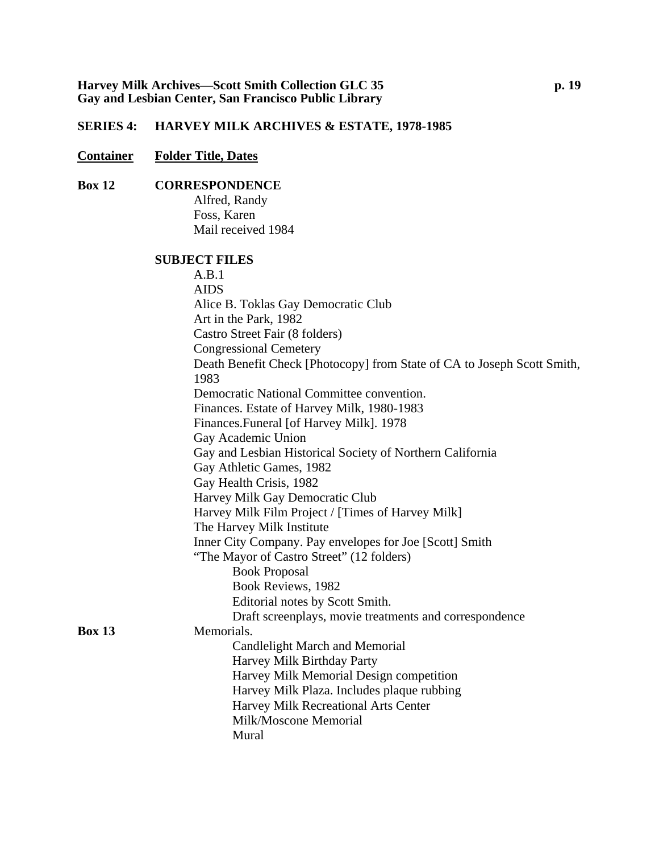### **SERIES 4: HARVEY MILK ARCHIVES & ESTATE, 1978-1985**

### **Container Folder Title, Dates**

### **Box 12 CORRESPONDENCE**

Alfred, Randy Foss, Karen Mail received 1984

#### **SUBJECT FILES**

|               | A.B.1                                                                   |
|---------------|-------------------------------------------------------------------------|
|               | <b>AIDS</b>                                                             |
|               | Alice B. Toklas Gay Democratic Club                                     |
|               | Art in the Park, 1982                                                   |
|               | Castro Street Fair (8 folders)                                          |
|               | <b>Congressional Cemetery</b>                                           |
|               | Death Benefit Check [Photocopy] from State of CA to Joseph Scott Smith, |
|               | 1983                                                                    |
|               | Democratic National Committee convention.                               |
|               | Finances. Estate of Harvey Milk, 1980-1983                              |
|               | Finances.Funeral [of Harvey Milk]. 1978                                 |
|               | Gay Academic Union                                                      |
|               | Gay and Lesbian Historical Society of Northern California               |
|               | Gay Athletic Games, 1982                                                |
|               | Gay Health Crisis, 1982                                                 |
|               | Harvey Milk Gay Democratic Club                                         |
|               | Harvey Milk Film Project / [Times of Harvey Milk]                       |
|               | The Harvey Milk Institute                                               |
|               | Inner City Company. Pay envelopes for Joe [Scott] Smith                 |
|               | "The Mayor of Castro Street" (12 folders)                               |
|               | <b>Book Proposal</b>                                                    |
|               | Book Reviews, 1982                                                      |
|               | Editorial notes by Scott Smith.                                         |
|               | Draft screenplays, movie treatments and correspondence                  |
| <b>Box 13</b> | Memorials.                                                              |
|               | Candlelight March and Memorial                                          |
|               | Harvey Milk Birthday Party                                              |
|               | Harvey Milk Memorial Design competition                                 |
|               | Harvey Milk Plaza. Includes plaque rubbing                              |
|               | Harvey Milk Recreational Arts Center                                    |
|               | Milk/Moscone Memorial                                                   |
|               | Mural                                                                   |
|               |                                                                         |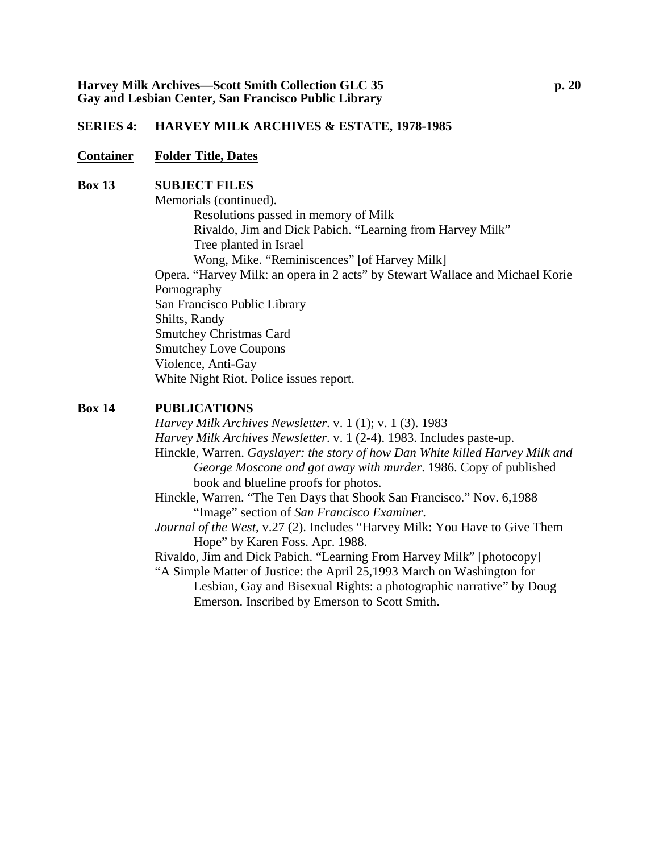#### **SERIES 4: HARVEY MILK ARCHIVES & ESTATE, 1978-1985**

#### **Container Folder Title, Dates**

#### **Box 13 SUBJECT FILES**

Memorials (continued). Resolutions passed in memory of Milk Rivaldo, Jim and Dick Pabich. "Learning from Harvey Milk" Tree planted in Israel Wong, Mike. "Reminiscences" [of Harvey Milk] Opera. "Harvey Milk: an opera in 2 acts" by Stewart Wallace and Michael Korie Pornography San Francisco Public Library Shilts, Randy Smutchey Christmas Card Smutchey Love Coupons Violence, Anti-Gay White Night Riot. Police issues report.

#### **Box 14 PUBLICATIONS**

*Harvey Milk Archives Newsletter*. v. 1 (1); v. 1 (3). 1983 *Harvey Milk Archives Newsletter*. v. 1 (2-4). 1983. Includes paste-up. Hinckle, Warren. *Gayslayer: the story of how Dan White killed Harvey Milk and George Moscone and got away with murder*. 1986. Copy of published book and blueline proofs for photos.

Hinckle, Warren. "The Ten Days that Shook San Francisco." Nov. 6,1988 "Image" section of *San Francisco Examiner*.

*Journal of the West*, v.27 (2). Includes "Harvey Milk: You Have to Give Them Hope" by Karen Foss. Apr. 1988.

Rivaldo, Jim and Dick Pabich. "Learning From Harvey Milk" [photocopy] "A Simple Matter of Justice: the April 25,1993 March on Washington for

Lesbian, Gay and Bisexual Rights: a photographic narrative" by Doug Emerson. Inscribed by Emerson to Scott Smith.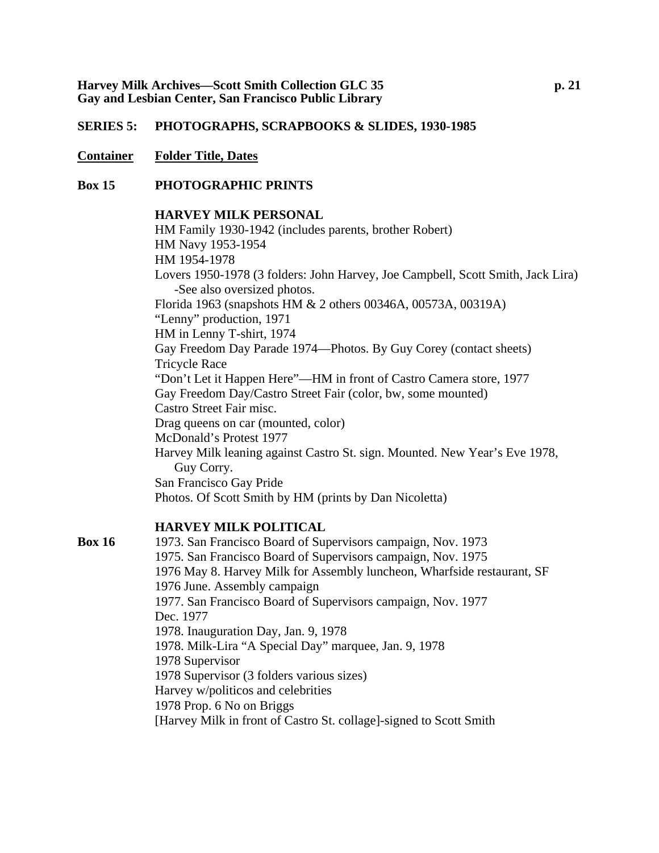#### **Container Folder Title, Dates**

#### **Box 15 PHOTOGRAPHIC PRINTS**

### **HARVEY MILK PERSONAL**

HM Family 1930-1942 (includes parents, brother Robert) HM Navy 1953-1954 HM 1954-1978 Lovers 1950-1978 (3 folders: John Harvey, Joe Campbell, Scott Smith, Jack Lira) -See also oversized photos. Florida 1963 (snapshots HM & 2 others 00346A, 00573A, 00319A) "Lenny" production, 1971 HM in Lenny T-shirt, 1974 Gay Freedom Day Parade 1974—Photos. By Guy Corey (contact sheets) Tricycle Race "Don't Let it Happen Here"—HM in front of Castro Camera store, 1977 Gay Freedom Day/Castro Street Fair (color, bw, some mounted) Castro Street Fair misc. Drag queens on car (mounted, color) McDonald's Protest 1977 Harvey Milk leaning against Castro St. sign. Mounted. New Year's Eve 1978, Guy Corry. San Francisco Gay Pride Photos. Of Scott Smith by HM (prints by Dan Nicoletta)

#### **HARVEY MILK POLITICAL**

**Box 16** 1973. San Francisco Board of Supervisors campaign, Nov. 1973 1975. San Francisco Board of Supervisors campaign, Nov. 1975 1976 May 8. Harvey Milk for Assembly luncheon, Wharfside restaurant, SF 1976 June. Assembly campaign 1977. San Francisco Board of Supervisors campaign, Nov. 1977 Dec. 1977 1978. Inauguration Day, Jan. 9, 1978 1978. Milk-Lira "A Special Day" marquee, Jan. 9, 1978 1978 Supervisor 1978 Supervisor (3 folders various sizes) Harvey w/politicos and celebrities 1978 Prop. 6 No on Briggs [Harvey Milk in front of Castro St. collage]-signed to Scott Smith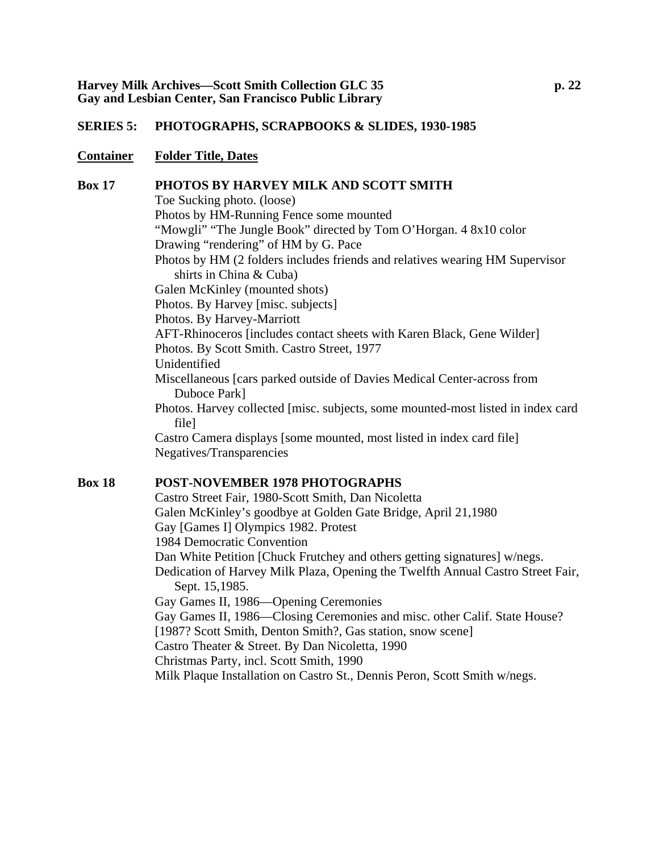#### **Container Folder Title, Dates**

#### **Box 17 PHOTOS BY HARVEY MILK AND SCOTT SMITH**

Toe Sucking photo. (loose) Photos by HM-Running Fence some mounted "Mowgli" "The Jungle Book" directed by Tom O'Horgan. 4 8x10 color Drawing "rendering" of HM by G. Pace Photos by HM (2 folders includes friends and relatives wearing HM Supervisor shirts in China & Cuba) Galen McKinley (mounted shots) Photos. By Harvey [misc. subjects] Photos. By Harvey-Marriott AFT-Rhinoceros [includes contact sheets with Karen Black, Gene Wilder] Photos. By Scott Smith. Castro Street, 1977 Unidentified Miscellaneous [cars parked outside of Davies Medical Center-across from Duboce Park] Photos. Harvey collected [misc. subjects, some mounted-most listed in index card file] Castro Camera displays [some mounted, most listed in index card file] Negatives/Transparencies **Box 18 POST-NOVEMBER 1978 PHOTOGRAPHS** 

Castro Street Fair, 1980-Scott Smith, Dan Nicoletta Galen McKinley's goodbye at Golden Gate Bridge, April 21,1980 Gay [Games I] Olympics 1982. Protest 1984 Democratic Convention Dan White Petition [Chuck Frutchey and others getting signatures] w/negs. Dedication of Harvey Milk Plaza, Opening the Twelfth Annual Castro Street Fair, Sept. 15,1985. Gay Games II, 1986—Opening Ceremonies Gay Games II, 1986—Closing Ceremonies and misc. other Calif. State House? [1987? Scott Smith, Denton Smith?, Gas station, snow scene] Castro Theater & Street. By Dan Nicoletta, 1990 Christmas Party, incl. Scott Smith, 1990 Milk Plaque Installation on Castro St., Dennis Peron, Scott Smith w/negs.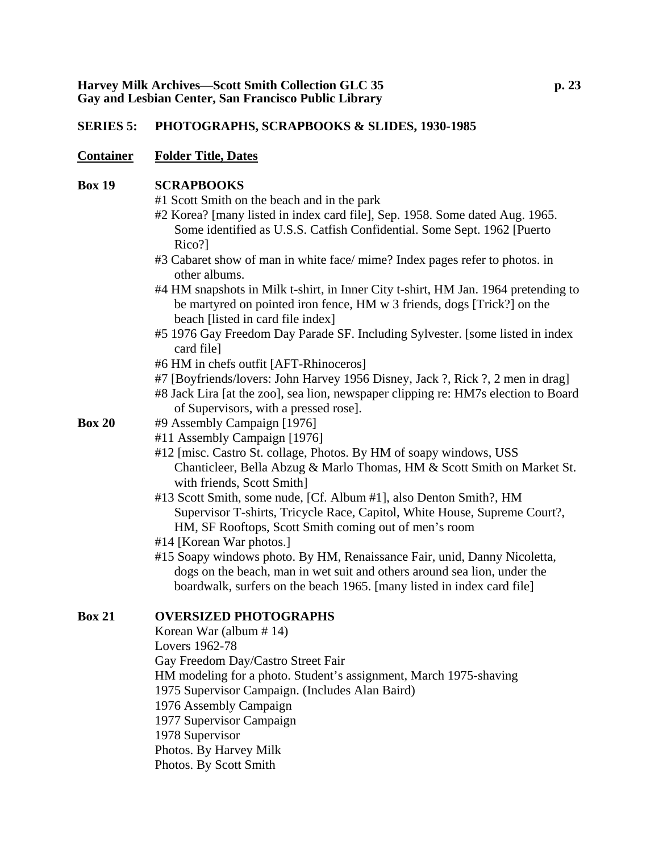#### **Container Folder Title, Dates**

#### **Box 19 SCRAPBOOKS**

#1 Scott Smith on the beach and in the park

- #2 Korea? [many listed in index card file], Sep. 1958. Some dated Aug. 1965. Some identified as U.S.S. Catfish Confidential. Some Sept. 1962 [Puerto Rico?]
- #3 Cabaret show of man in white face/ mime? Index pages refer to photos. in other albums.
- #4 HM snapshots in Milk t-shirt, in Inner City t-shirt, HM Jan. 1964 pretending to be martyred on pointed iron fence, HM w 3 friends, dogs [Trick?] on the beach [listed in card file index]
- #5 1976 Gay Freedom Day Parade SF. Including Sylvester. [some listed in index card file]
- #6 HM in chefs outfit [AFT-Rhinoceros]
- #7 [Boyfriends/lovers: John Harvey 1956 Disney, Jack ?, Rick ?, 2 men in drag]
- #8 Jack Lira [at the zoo], sea lion, newspaper clipping re: HM7s election to Board of Supervisors, with a pressed rose].
- **Box 20** #9 Assembly Campaign [1976]
	- #11 Assembly Campaign [1976]
		- #12 [misc. Castro St. collage, Photos. By HM of soapy windows, USS Chanticleer, Bella Abzug & Marlo Thomas, HM & Scott Smith on Market St. with friends, Scott Smith]
		- #13 Scott Smith, some nude, [Cf. Album #1], also Denton Smith?, HM Supervisor T-shirts, Tricycle Race, Capitol, White House, Supreme Court?, HM, SF Rooftops, Scott Smith coming out of men's room
		- #14 [Korean War photos.]
		- #15 Soapy windows photo. By HM, Renaissance Fair, unid, Danny Nicoletta, dogs on the beach, man in wet suit and others around sea lion, under the boardwalk, surfers on the beach 1965. [many listed in index card file]

### **Box 21 OVERSIZED PHOTOGRAPHS**

Korean War (album # 14) Lovers 1962-78 Gay Freedom Day/Castro Street Fair HM modeling for a photo. Student's assignment, March 1975-shaving 1975 Supervisor Campaign. (Includes Alan Baird) 1976 Assembly Campaign 1977 Supervisor Campaign 1978 Supervisor Photos. By Harvey Milk Photos. By Scott Smith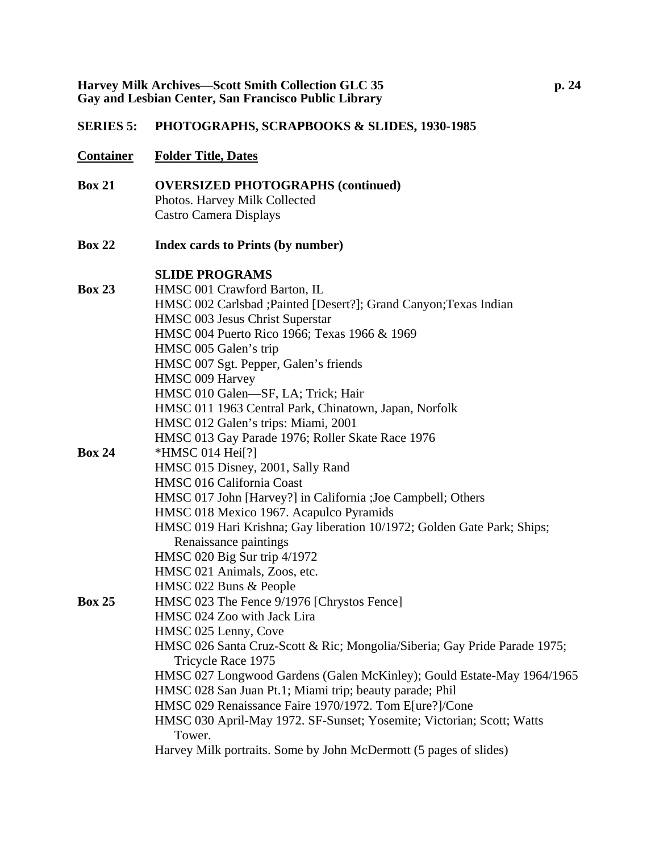- **Container Folder Title, Dates**
- **Box 21 OVERSIZED PHOTOGRAPHS (continued)** Photos. Harvey Milk Collected Castro Camera Displays
- **Box 22 Index cards to Prints (by number)**

### **SLIDE PROGRAMS**

| <b>Box 23</b> | HMSC 001 Crawford Barton, IL                                              |
|---------------|---------------------------------------------------------------------------|
|               | HMSC 002 Carlsbad ; Painted [Desert?]; Grand Canyon; Texas Indian         |
|               | HMSC 003 Jesus Christ Superstar                                           |
|               | HMSC 004 Puerto Rico 1966; Texas 1966 & 1969                              |
|               | HMSC 005 Galen's trip                                                     |
|               | HMSC 007 Sgt. Pepper, Galen's friends                                     |
|               | HMSC 009 Harvey                                                           |
|               | HMSC 010 Galen-SF, LA; Trick; Hair                                        |
|               | HMSC 011 1963 Central Park, Chinatown, Japan, Norfolk                     |
|               | HMSC 012 Galen's trips: Miami, 2001                                       |
|               | HMSC 013 Gay Parade 1976; Roller Skate Race 1976                          |
| <b>Box 24</b> | *HMSC 014 Hei <sup>[?]</sup>                                              |
|               | HMSC 015 Disney, 2001, Sally Rand                                         |
|               | HMSC 016 California Coast                                                 |
|               | HMSC 017 John [Harvey?] in California ; Joe Campbell; Others              |
|               | HMSC 018 Mexico 1967. Acapulco Pyramids                                   |
|               | HMSC 019 Hari Krishna; Gay liberation 10/1972; Golden Gate Park; Ships;   |
|               | Renaissance paintings                                                     |
|               | HMSC 020 Big Sur trip 4/1972                                              |
|               | HMSC 021 Animals, Zoos, etc.                                              |
|               | HMSC 022 Buns & People                                                    |
| <b>Box 25</b> | HMSC 023 The Fence 9/1976 [Chrystos Fence]                                |
|               | HMSC 024 Zoo with Jack Lira                                               |
|               | HMSC 025 Lenny, Cove                                                      |
|               | HMSC 026 Santa Cruz-Scott & Ric; Mongolia/Siberia; Gay Pride Parade 1975; |
|               | Tricycle Race 1975                                                        |
|               | HMSC 027 Longwood Gardens (Galen McKinley); Gould Estate-May 1964/1965    |
|               | HMSC 028 San Juan Pt.1; Miami trip; beauty parade; Phil                   |
|               | HMSC 029 Renaissance Faire 1970/1972. Tom E[ure?]/Cone                    |
|               | HMSC 030 April-May 1972. SF-Sunset; Yosemite; Victorian; Scott; Watts     |
|               | Tower.                                                                    |
|               | Harvey Milk portraits. Some by John McDermott (5 pages of slides)         |